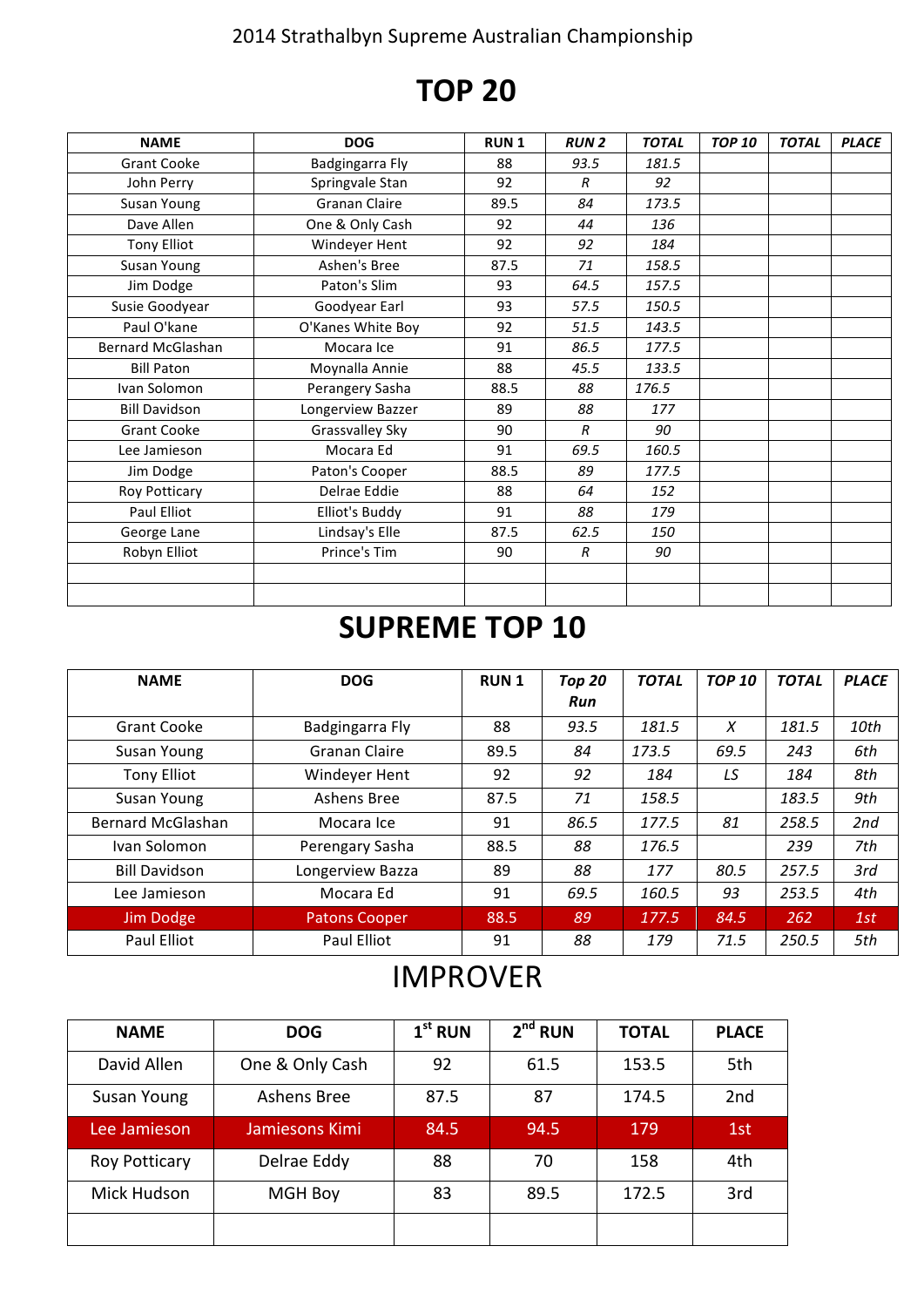#### 2014 Strathalbyn Supreme Australian Championship

# **TOP 20**

| <b>NAME</b>              | <b>DOG</b>           | <b>RUN1</b> | <b>RUN2</b>    | <b>TOTAL</b> | <b>TOP 10</b> | <b>TOTAL</b> | <b>PLACE</b> |
|--------------------------|----------------------|-------------|----------------|--------------|---------------|--------------|--------------|
| <b>Grant Cooke</b>       | Badgingarra Fly      | 88          | 93.5           | 181.5        |               |              |              |
| John Perry               | Springvale Stan      | 92          | R              | 92           |               |              |              |
| Susan Young              | <b>Granan Claire</b> | 89.5        | 84             | 173.5        |               |              |              |
| Dave Allen               | One & Only Cash      | 92          | 44             | 136          |               |              |              |
| <b>Tony Elliot</b>       | Windeyer Hent        | 92          | 92             | 184          |               |              |              |
| Susan Young              | Ashen's Bree         | 87.5        | 71             | 158.5        |               |              |              |
| Jim Dodge                | Paton's Slim         | 93          | 64.5           | 157.5        |               |              |              |
| Susie Goodyear           | Goodyear Earl        | 93          | 57.5           | 150.5        |               |              |              |
| Paul O'kane              | O'Kanes White Boy    | 92          | 51.5           | 143.5        |               |              |              |
| <b>Bernard McGlashan</b> | Mocara Ice           | 91          | 86.5           | 177.5        |               |              |              |
| <b>Bill Paton</b>        | Moynalla Annie       | 88          | 45.5           | 133.5        |               |              |              |
| Ivan Solomon             | Perangery Sasha      | 88.5        | 88             | 176.5        |               |              |              |
| <b>Bill Davidson</b>     | Longerview Bazzer    | 89          | 88             | 177          |               |              |              |
| <b>Grant Cooke</b>       | Grassvalley Sky      | 90          | $\overline{R}$ | 90           |               |              |              |
| Lee Jamieson             | Mocara Ed            | 91          | 69.5           | 160.5        |               |              |              |
| Jim Dodge                | Paton's Cooper       | 88.5        | 89             | 177.5        |               |              |              |
| Roy Potticary            | Delrae Eddie         | 88          | 64             | 152          |               |              |              |
| Paul Elliot              | Elliot's Buddy       | 91          | 88             | 179          |               |              |              |
| George Lane              | Lindsay's Elle       | 87.5        | 62.5           | 150          |               |              |              |
| Robyn Elliot             | Prince's Tim         | 90          | $\overline{R}$ | 90           |               |              |              |
|                          |                      |             |                |              |               |              |              |
|                          |                      |             |                |              |               |              |              |

### **SUPREME TOP 10**

| <b>NAME</b>          | <b>DOG</b>           | <b>RUN1</b> | Top 20          | <b>TOTAL</b> | <b>TOP 10</b> | <b>TOTAL</b> | <b>PLACE</b> |
|----------------------|----------------------|-------------|-----------------|--------------|---------------|--------------|--------------|
|                      |                      |             | Run             |              |               |              |              |
| <b>Grant Cooke</b>   | Badgingarra Fly      | 88          | 93.5            | 181.5        | X             | 181.5        | 10th         |
| Susan Young          | Granan Claire        | 89.5        | 84              | 173.5        | 69.5          | 243          | 6th          |
| <b>Tony Elliot</b>   | Windeyer Hent        | 92          | LS<br>92<br>184 |              |               | 184          | 8th          |
| Susan Young          | Ashens Bree          | 87.5        | 158.5<br>71     |              |               | 183.5        | 9th          |
| Bernard McGlashan    | Mocara Ice           | 91          | 86.5            | 177.5        | 81            | 258.5        | 2nd          |
| Ivan Solomon         | Perengary Sasha      | 88.5        | 88              | 176.5        |               | 239          | 7th          |
| <b>Bill Davidson</b> | Longerview Bazza     | 89          | 88<br>177       |              | 80.5          | 257.5        | 3rd          |
| Lee Jamieson         | Mocara Ed            | 91          | 69.5            | 160.5        | 93            | 253.5        | 4th          |
| Jim Dodge            | <b>Patons Cooper</b> | 88.5        | 89              | 177.5        | 84.5          | 262          | 1st          |
| Paul Elliot          | Paul Elliot          | 91          | 88              | 179          | 71.5          | 250.5        | 5th          |

#### IMPROVER

| <b>NAME</b>          | <b>DOG</b>      | $1st$ RUN | $2nd$ RUN | <b>TOTAL</b> | <b>PLACE</b> |  |
|----------------------|-----------------|-----------|-----------|--------------|--------------|--|
| David Allen          | One & Only Cash | 92        | 61.5      | 153.5        | 5th          |  |
| Susan Young          | Ashens Bree     | 87.5      | 87        | 174.5        | 2nd          |  |
| Lee Jamieson         | Jamiesons Kimi  | 84.5      | 94.5      | 179          | 1st          |  |
| <b>Roy Potticary</b> | Delrae Eddy     | 88        | 70        | 158          | 4th          |  |
| Mick Hudson          | <b>MGH Boy</b>  |           | 89.5      | 172.5        | 3rd          |  |
|                      |                 |           |           |              |              |  |